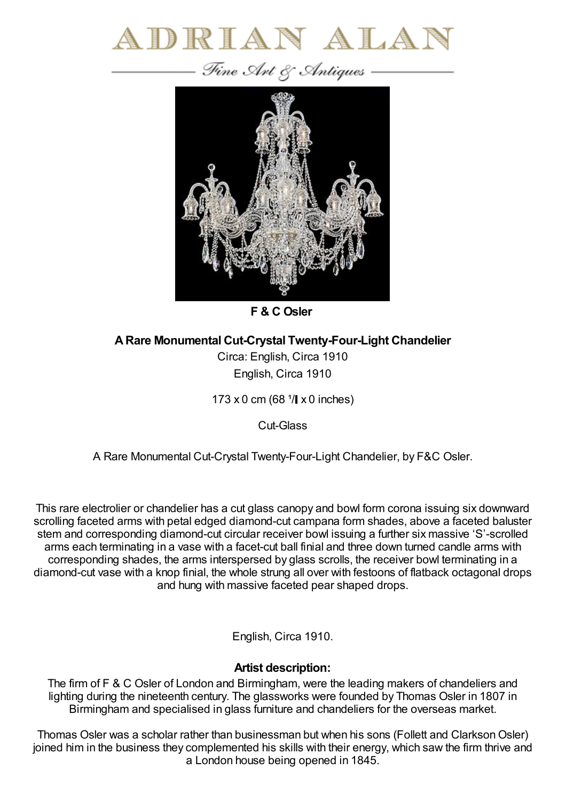



**F & C Osler**

**ARare Monumental Cut-Crystal Twenty-Four-Light Chandelier**

Circa: English, Circa 1910 English, Circa 1910

 $173 \times 0$  cm (68  $\sqrt[1]{} \times 0$  inches)

Cut-Glass

A Rare Monumental Cut-Crystal Twenty-Four-Light Chandelier, by F&C Osler.

This rare electrolier or chandelier has a cut glass canopy and bowl form corona issuing six downward scrolling faceted arms with petal edged diamond-cut campana form shades, above a faceted baluster stem and corresponding diamond-cut circular receiver bowl issuing a further six massive 'S'-scrolled arms each terminating in a vase with a facet-cut ball finial and three down turned candle arms with corresponding shades, the arms interspersed by glass scrolls, the receiver bowl terminating in a diamond-cut vase with a knop finial, the whole strung all over with festoons of flatback octagonal drops and hung with massive faceted pear shaped drops.

English, Circa 1910.

## **Artist description:**

The firm of F & C Osler of London and Birmingham, were the leading makers of chandeliers and lighting during the nineteenth century. The glassworks were founded by Thomas Osler in 1807 in Birmingham and specialised in glass furniture and chandeliers for the overseas market.

Thomas Osler was a scholar rather than businessman but when his sons (Follett and Clarkson Osler) joined him in the business they complemented his skills with their energy, which saw the firm thrive and a London house being opened in 1845.